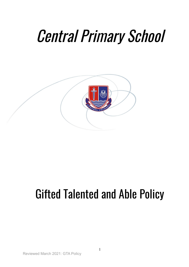# Central Primary School



# Gifted Talented and Able Policy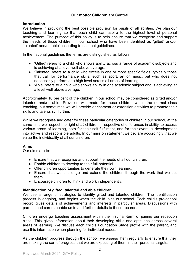# **Introduction**

We believe in providing the best possible provision for pupils of all abilities. We plan our teaching and learning so that each child can aspire to the highest level of personal achievement. The purpose of this policy is to help ensure that we recognise and support the needs of those children in our school who have been identified as 'gifted' and/or 'talented' and/or 'able' according to national guidelines.

In the national guidelines the terms are distinguished as follows:

- 'Gifted' refers to a child who shows ability across a range of academic subjects and is achieving at a level well above average.
- 'Talented' refers to a child who excels in one or more specific fields, typically those that call for performance skills, such as sport, art or music, but who does not necessarily perform at a high level across all areas of learning.
- 'Able' refers to a child who shows ability in one academic subject and is achieving at a level well above average.

Approximately 10 per cent of the children in our school may be considered as gifted and/or talented and/or able. Provision will made for these children within the normal class teaching, but sometimes we will provide enrichment or extension activities to promote their skills and talents still further.

While we recognise and cater for these particular categories of children in our school, at the same time we respect the right of *all* children, irrespective of differences in ability, to access various areas of learning, both for their self-fulfilment, and for their eventual development into active and responsible adults. In our mission statement we declare accordingly that we value the individuality of all our children.

# **Aims**

Our aims are to:

- Ensure that we recognise and support the needs of all our children.
- Enable children to develop to their full potential.
- Offer children opportunities to generate their own learning.
- Ensure that we challenge and extend the children through the work that we set them.
- Encourage children to think and work independently.

# **Identification of gifted, talented and able children**

We use a range of strategies to identify gifted and talented children. The identification process is ongoing, and begins when the child joins our school. Each child's pre-school record gives details of achievements and interests in particular areas. Discussions with parents and carers enable us to add further details to these records.

Children undergo baseline assessment within the first half-term of joining our reception class. This gives information about their developing skills and aptitudes across several areas of learning. We discuss each child's Foundation Stage profile with the parent, and use this information when planning for individual needs.

As the children progress through the school, we assess them regularly to ensure that they are making the sort of progress that we are expecting of them in their personal targets.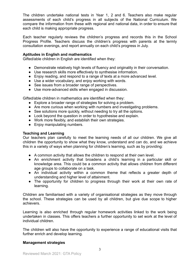The children undertake national tests in Year 1, 2 and 6. Teachers also make regular assessments of each child's progress in all subjects of the National Curriculum. We compare the information from these with regional and national data, in order to ensure that each child is making appropriate progress.

Each teacher regularly reviews the children's progress and records this in the School Progress Profile. Teachers discuss the children's progress with parents at the termly consultation evenings, and report annually on each child's progress in July.

#### **Aptitudes in English and mathematics**

Gifted/able children in English are identified when they:

- Demonstrate relatively high levels of fluency and originality in their conversation.
- Use research skills more effectively to synthesise information.
- Enjoy reading, and respond to a range of texts at a more advanced level.
- Use a wider vocabulary, and enjoy working with words.
- See issues from a broader range of perspectives.
- Use more-advanced skills when engaged in discussion.

Gifted/able children in mathematics are identified when they:

- Explore a broader range of strategies for solving a problem.
- Are more curious when working with numbers and investigating problems.
- See solutions more quickly, without needing to try all the options.
- Look beyond the question in order to hypothesise and explain.
- Work more flexibly, and establish their own strategies.
- Enjoy manipulating numbers.

#### **Teaching and Learning**

Our teachers plan carefully to meet the learning needs of all our children. We give all children the opportunity to show what they know, understand and can do, and we achieve this in a variety of ways when planning for children's learning, such as by providing:

- A common activity that allows the children to respond at their own level.
- An enrichment activity that broadens a child's learning in a particular skill or knowledge area. This could be a common activity that allows children from different age groups to collaborate on a task.
- An individual activity within a common theme that reflects a greater depth of understanding and higher level of attainment.
- The opportunity for children to progress through their work at their own rate of learning.

Children are familiarised with a variety of organisational strategies as they move through the school. These strategies can be used by all children, but give due scope to higher achievers.

Learning is also enriched through regular homework activities linked to the work being undertaken in classes. This offers teachers a further opportunity to set work at the level of individual children.

The children will also have the opportunity to experience a range of educational visits that further enrich and develop learning.

#### **Management strategies**